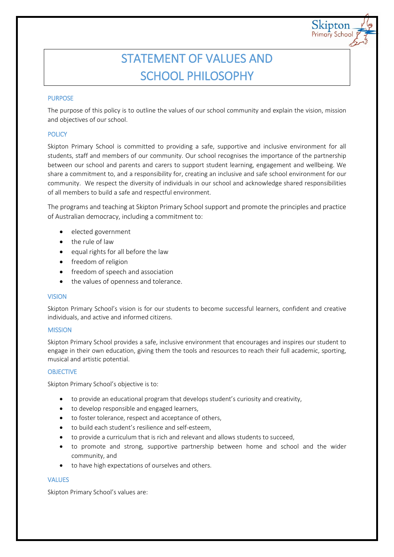# STATEMENT OF VALUES AND SCHOOL PHILOSOPHY

kipton Primary School

## PURPOSE

The purpose of this policy is to outline the values of our school community and explain the vision, mission and objectives of our school.

## **POLICY**

Skipton Primary School is committed to providing a safe, supportive and inclusive environment for all students, staff and members of our community. Our school recognises the importance of the partnership between our school and parents and carers to support student learning, engagement and wellbeing. We share a commitment to, and a responsibility for, creating an inclusive and safe school environment for our community. We respect the diversity of individuals in our school and acknowledge shared responsibilities of all members to build a safe and respectful environment.

The programs and teaching at Skipton Primary School support and promote the principles and practice of Australian democracy, including a commitment to:

- elected government
- the rule of law
- $\bullet$  equal rights for all before the law
- freedom of religion
- freedom of speech and association
- the values of openness and tolerance.

## VISION

Skipton Primary School's vision is for our students to become successful learners, confident and creative individuals, and active and informed citizens.

## **MISSION**

Skipton Primary School provides a safe, inclusive environment that encourages and inspires our student to engage in their own education, giving them the tools and resources to reach their full academic, sporting, musical and artistic potential.

## **OBJECTIVE**

Skipton Primary School's objective is to:

- to provide an educational program that develops student's curiosity and creativity,
- to develop responsible and engaged learners,
- to foster tolerance, respect and acceptance of others,
- to build each student's resilience and self-esteem,
- to provide a curriculum that is rich and relevant and allows students to succeed,
- to promote and strong, supportive partnership between home and school and the wider community, and
- to have high expectations of ourselves and others.

## VALUES

Skipton Primary School's values are: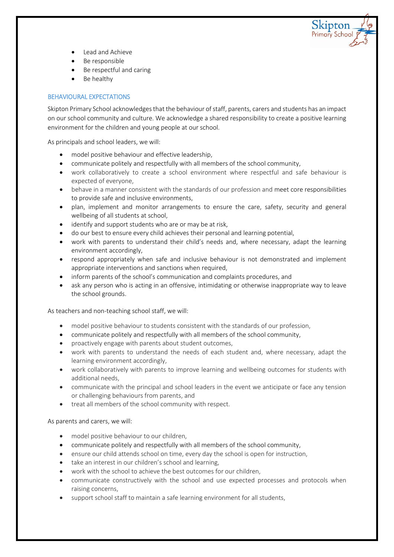

- Lead and Achieve
- Be responsible
- Be respectful and caring
- Be healthy

# BEHAVIOURAL EXPECTATIONS

Skipton Primary School acknowledges that the behaviour of staff, parents, carers and students has an impact on our school community and culture. We acknowledge a shared responsibility to create a positive learning environment for the children and young people at our school.

As principals and school leaders, we will:

- model positive behaviour and effective leadership,
- communicate politely and respectfully with all members of the school community,
- work collaboratively to create a school environment where respectful and safe behaviour is expected of everyone,
- behave in a manner consistent with the standards of our profession and meet core responsibilities to provide safe and inclusive environments,
- plan, implement and monitor arrangements to ensure the care, safety, security and general wellbeing of all students at school,
- identify and support students who are or may be at risk,
- do our best to ensure every child achieves their personal and learning potential,
- work with parents to understand their child's needs and, where necessary, adapt the learning environment accordingly,
- respond appropriately when safe and inclusive behaviour is not demonstrated and implement appropriate interventions and sanctions when required,
- inform parents of the school's communication and complaints procedures, and
- ask any person who is acting in an offensive, intimidating or otherwise inappropriate way to leave the school grounds.

As teachers and non-teaching school staff, we will:

- model positive behaviour to students consistent with the standards of our profession,
- communicate politely and respectfully with all members of the school community,
- proactively engage with parents about student outcomes,
- work with parents to understand the needs of each student and, where necessary, adapt the learning environment accordingly,
- work collaboratively with parents to improve learning and wellbeing outcomes for students with additional needs,
- communicate with the principal and school leaders in the event we anticipate or face any tension or challenging behaviours from parents, and
- treat all members of the school community with respect.

## As parents and carers, we will:

- model positive behaviour to our children,
- communicate politely and respectfully with all members of the school community,
- ensure our child attends school on time, every day the school is open for instruction,
- take an interest in our children's school and learning,
- work with the school to achieve the best outcomes for our children,
- communicate constructively with the school and use expected processes and protocols when raising concerns,
- support school staff to maintain a safe learning environment for all students,